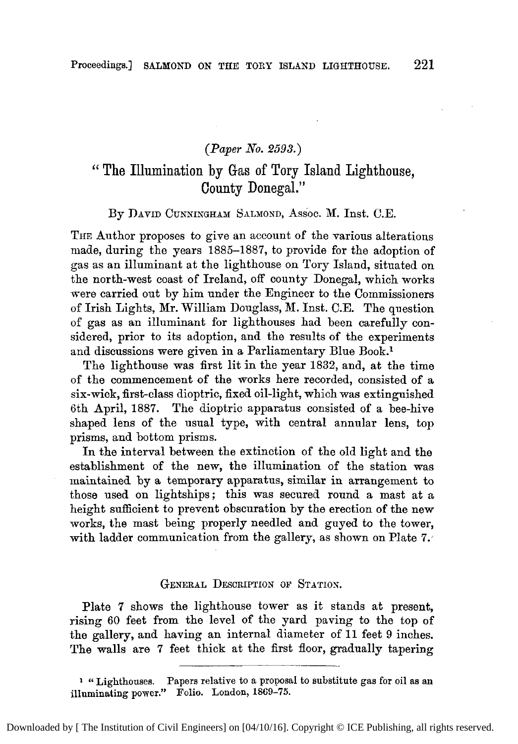# *(Paper No. 2593.)*

# " The Illumination by Gas of Tory Island Lighthouse, County Donegal."

#### By DAVID CUNNINGHAM SALMOND, Assoc. **M.** Inst. C.E.

THE Author proposes to give an account of the various alterations made, during the years 1885-1887, to provide for the adoption of *gas* as an illuminant at the lighthouse on Tory Island, situated on the north-west coast of Ireland, off county Donegal, which works were carried out by him under the Engineer to the Commissioners of Irish Lights, Mr. William Douglass, **M.** Inst. C.E. The question of gss *as* an illuminant for lighthouses had been carefully considered, prior to its adoption, and the results of the experiments and discussions were given in a Parliamentary Blue Book.1

The lighthouse was first lit in the year 1832, and, at the time of the commencement of the works here recorded, consisted of a six-wick, first-class dioptric, fixed oil-light, which was extinguished 6th April, 1887. The dioptric apparatus consisted of a bee-hive shaped lens of the usual type, with central annular lens, top prisms, and bottom prisms.

In the interval between the extinction of the old light and the establishment of the new, the illumination of the station was maintained by a temporary apparatus, similar in arrangement to those used on lightships; this was secured round a mast at a height sufficient to prevent obscuration by the erection of the new works, the mast being properly needled and guyed to the tower, with ladder communication from the gallery, *as* shown on Plate 7.

### GENERAL DESCRIPTION OF STATION.

Plate **7** shows the lighthouse tower as it stands at present, rising 60 feet from the level of the yard paving to the top of the gallery, and having an internal diameter of 11 feet 9 inches. The walls are **7** feet thick at the first floor, gradually tapering

**1 '6** Lighthouses. Papers relative to a proposal *to* substitute **gas** for oil **a8 an illuminating** power." **Folio.** London, **1869-75.**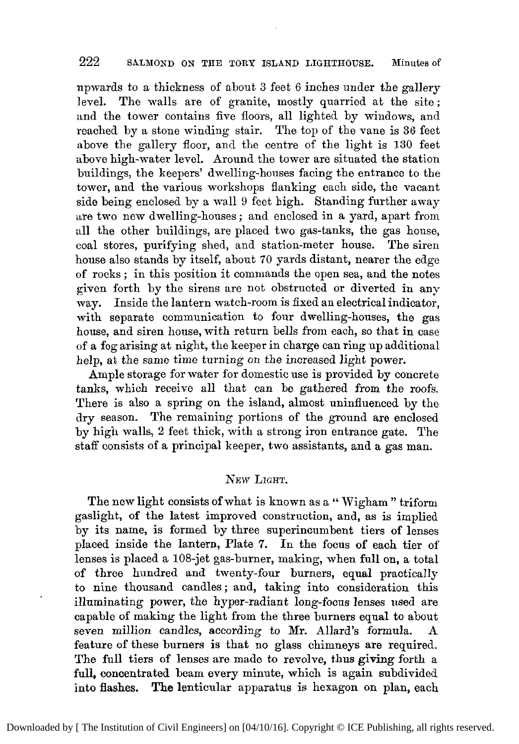# **222** SALMONL) **ON THE** TORY ISLAND LIGHTHOUSE. Minutes **Of**

npwards to a thickness of about *3* feet 6 inches under the gallery level. The walls are of granite, mostly quarried at the site; and the tower contains five floors, all lighted by windows, and reached by a stone winding stair. The top of the vane is **36** feet above the gallery floor, and the centre of the light is **130** feet above high-water level. Around the tower are situated the station buildings, the keepers' dwelling-houses facing the entrance to the tower, and the various workshops flanking each side, the vacant side being enclosed by a wall 9 feet high. Standing further away are two new dwelling-houses ; and enclosed in a yard, apart from all the other buildings, are placed two gas-tanks, the gas house, coal stores, purifying shed, and station-meter house. The siren house also stands by itself, about 70 yards distant, nearer the edge of rocks ; in this position it commands the open sea, and the notes given forth by the sirens are not obstructed or diverted in any may. Inside the lantern watch-room is fixed an electrical indicator, with separate communication to four dwelling-houses, the gas house, and siren house, with return bells from each, so that in case of a fog arising at night, the keeper in charge can ring up additional help, at the same time turning on the increased light power.

Ample storage for water for domestic use is provided by concrete tanks, which receive all that can be gathered from the roofs. There is also a spring on the island, almost uninfluenced by the dry season. The remaining portions of the ground are enclosed by high walls, *2* feet thick, with a strong iron entrance gate. The staff consists of a principal keeper, two assistants, and a gas man.

### **NEW** LIGHT.

The new light consists of what is known as a "Wigham" triform gaslight, of the latest improved construction, and, as is implied by its name, is formed by three superincumbent tiers of lenses placed inside the lantern, Plate **7.** In the focus of each tier of lenses is placed a 108-jet gas-burner, making, when full on, a total of three hundred and twenty-four burners, equal practically to nine thousand candles; and, taking into consideration this illuminating power, the hyper-radiant long-focus lenses used are capable of making the light from the three burners equal to about seven million candles, according to Mr. Allard's formula. feature of these burners **is** that no glass chimneys are required. The full tiers of lenses are made to revolve, thus giving forth a full, concentrated beam every minute, which is again subdivided into flashes. **The** lenticular apparatus is hexagon on plan, each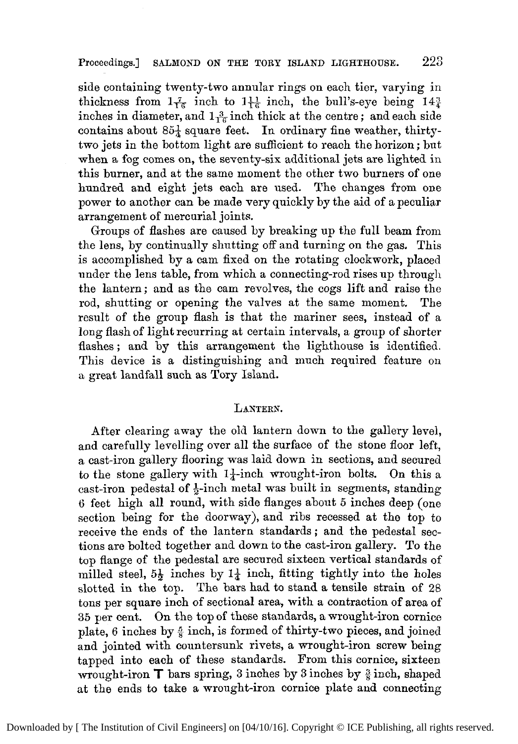# **Proceedings.] SALHOND ON THE** TORY **ISLAND LIGHTHOUSE.** *223*

side containing twenty-two annular rings on each tier, varying in thickness from  $1\frac{7}{16}$  inch to  $1\frac{11}{6}$  inch, the bull's-eye being  $14\frac{3}{4}$ inches in diameter, and  $1\frac{3}{16}$  inch thick at the centre; and each side contains about  $85\frac{1}{4}$  square feet. In ordinary fine weather, thirtytwo jets in the bottom light are sufficient to reach the horizon; but when a fog comes on, the seventy-six additional jets are lighted in this burner, and at the same moment the other two burners of one hundred and eight jets each are used. The changes from one power to another can be made very quickly by the aid of a peculiar arrangement of mercurial joints.

Groups of flashes are caused by breaking up the full beam from the lens, by continually shutting off and turning on the gas. This is accomplished by a cam fixed on the rotating clockwork, placed under the lens table, from which a connecting-rod rises up through the lantern; and as the cam revolves, the cogs lift and raise the rod, shutting or opening the valves at the same moment, The result of the group flash is that the mariner sees, instead of a long flash of light recurring at certain intervals, a group of shorter flashes; and by this arrangement the lighthouse is identified. This device is a distinguishing and much required feature on a great landfall such as Tory Island.

## **LANTERN.**

After clearing away the old lantern down to the gallery level, and carefully levelling over all the surface **of** the stone floor left, a cast-iron gallery flooring was laid down in sections, and secured to the stone gallery with  $1\frac{1}{4}$ -inch wrought-iron bolts. On this a cast-iron pedestal of  $\frac{1}{6}$ -inch metal was built in segments, standing **6** feet high all round, with side flanges about *5* inches deep (one section being for the doorway), and ribs recessed at the top to receive the ends of the lantern standards ; and the pedestal sections are bolted together and down to the cast-iron gallery. To the top flange of the pedestal are secured sixteen vertical standards of milled steel,  $5\frac{1}{2}$  inches by  $1\frac{1}{4}$  inch, fitting tightly into the holes slotted in the top. The bars had to stand a tensile strain of 28 tons per square inch of sectional area, with a contraction of area of **35** per cent. On the top of these standards, a wrought-iron cornice plate, 6 inches by  $\frac{5}{4}$  inch, is formed of thirty-two pieces, and joined and jointed with countersunk rivets, a wrought-iron screw being tapped into each of these standards. From this cornice, sixteen wrought-iron **T** bars spring, 3 inches by 3 inches by  $\frac{3}{8}$  inch, shaped at the ends to take a wrought-iron cornice plate and connecting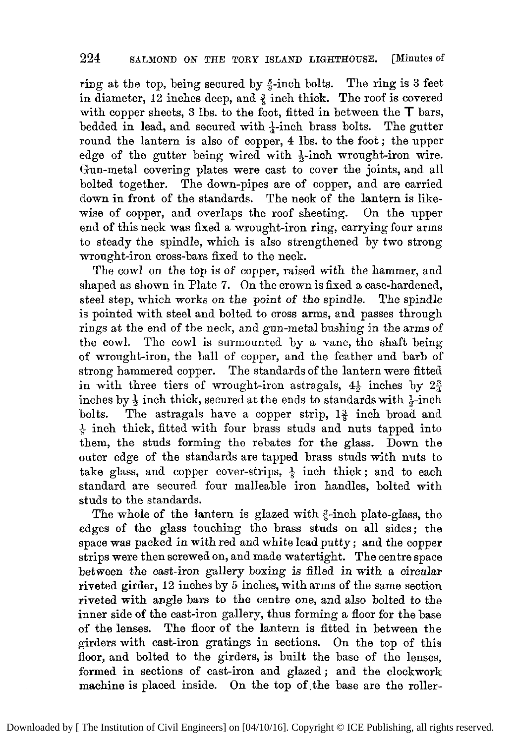ring at the top, being secured by  $\frac{5}{8}$ -inch bolts. The ring is 3 feet in diameter, 12 inches deep, and  $\frac{3}{2}$  inch thick. The roof is covered with copper sheets,  $3$  lbs. to the foot, fitted in between the  $T$  bars, bedded in lead, and secured with  $\frac{1}{4}$ -inch brass bolts. The gutter round the lantern is also of copper, **4** lbs. to the foot ; the upper edge of the gutter being wired with \$-inch wrought-iron wire. Gun-metal covering plates were cast to cover the joints, and all bolted together. The down-pipes are of copper, and are carried down in front of the standards. The neck of the lantern is likewise of copper, and overlaps the roof sheeting. On the upper **end** of this neck was fixed a wrought-iron ring, carrying four arms to steady the spindle, which is also strengthened by two strong wrought-iron cross-bars fixed to the neck.

The cowl on the top is of copper, raised with the hammer, and shaped as shown in Plate **7.** On the crown is fixed a case-hardened, steel step, which works on the point of the spindle. The spindle is pointed with steel and bolted to cross arms, and passes through rings at the end of the neck, and gun-metal bushing in the arms of the cowl. The cowl is surmounted by a vane, the shaft being of wrought-iron, the ball of copper, and the feather and barb of strong hammered copper. The standards of the lantern were fitted in with three tiers of wrought-iron astragals, **4:** inches by **22**  inches by  $\frac{1}{2}$  inch thick, secured at the ends to standards with  $\frac{1}{2}$ -inch bolts. The astragals have a copper strip, **1Q** inch broad and  $\frac{1}{4}$  inch thick, fitted with four brass studs and nuts tapped into them, the studs forming the rebates for the glass. Down the outer edge of the standards are tapped brass studs with nuts to take glass, and copper cover-strips,  $\frac{1}{8}$  inch thick; and to each standard are secured four malleable iron handles, bolted with studs to the standards.

The whole of the lantern is glazed with  $\frac{3}{4}$ -inch plate-glass, the edges of the glass touching the brass studs on all sides; the space was packed in with red and white lead putty ; and the copper strips were then screwed on, and made watertight. The centre space between the cast-iron gallery boxing is filled in with a circular riveted girder, **12** inches by *5* inches, with arms of the same section riveted with angle bars to the centre one, **and** also bolted to the inner side of the cast-iron gallery, thus forming a floor for the base of the lenses. The floor of the lantern is fitted in between the girders with cast-iron gratings in sections. On the top of this floor, and bolted to the girders, is built the base of the lenses, formed in sections of cast-iron and glazed; and the clockwork machine is placed inside. On the top of the base are the roller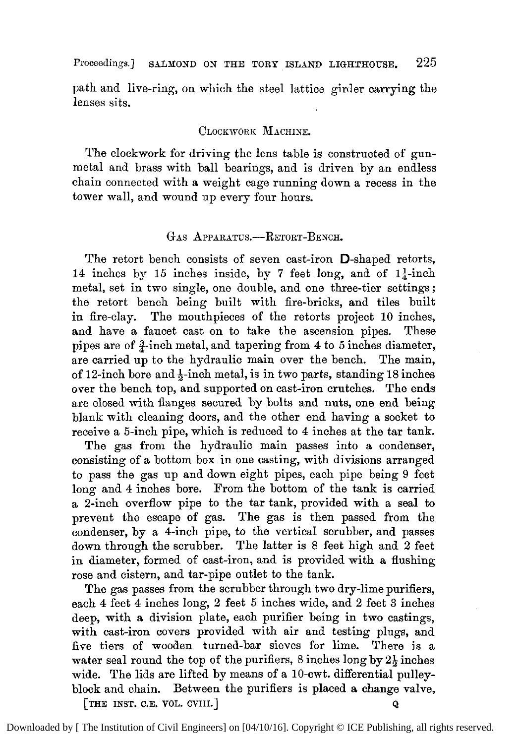path and live-ring, on which the steel lattice girder carrying the lenses sits.

## CLOCKWORK MACHIXE.

The clockwork for driving the lens table is constructed of gunmetal and brass with ball bearings, and is driven by an endless chain connected with a weight cage running down a recess in the tower wall, and wound up every four hours.

#### GAS APPARATUS.-RETORT-BENCH.

The retort bench consists of seven cast-iron D-shaped retorts, 14 inches by 15 inches inside, by 7 feet long, and of  $1\frac{1}{4}$ -inch metal, set in two single, one double, and one three-tier settings; the retort bench being built with fire-bricks, and tiles built in fire-clay. The mouthpieces of the retorts project **10** inches, and have a faucet cast on to take the ascension pipes. These pipes are of  $\frac{3}{4}$ -inch metal, and tapering from 4 to 5 inches diameter, are carried up to the hydraulic main over the bench. The main, of 12-inch bore and \$-inch metal, is in two parts, standing **18** inches over the bench top, and supported on cast-iron crutches. The ends are closed with flanges secured by bolts and nuts, one end being blank with cleaning doors, and the other end having a socket to receive a 5-inch pipe, which is reduced to 4 inches at the tar tank.

The gas from the hydraulic main passes into a condenser, consisting of a bottom box in one casting, with divisions arranged to pass the gas up and down eight pipes, each pipe being 9 feet long and **4** inches bore. From the bottom of the tank is carried a 2-inch overflow pipe to the tar tank, provided with a seal to prevent he escape of gas. The gas is then passed from the condenser, by a 4-inch pipe, to the vertical scrubber, and passes down through the scrubber. The latter is 8 feet high and **2** feet in diameter, formed of cast-iron, and is provided with **a** flushing rose and cistern, and tar-pipe outlet to the tank.

The gas passes from the scrubber through two dry-lime purifiers, each 4 feet 4 inches long, 2 feet *5* inches wide, and 2 feet **3** inches deep, with a division plate, each purifier being in two castings, with cast-iron covers provided with air and testing plugs, and five tiers of wooden turned-bar sieves for lime. There is a water seal round the top of the purifiers,  $8$  inches long by  $2\frac{1}{2}$  inches wide. The lids are lifted by means of a 10-cwt. differential pulleyblock and chain. Between the purifiers is placed a change valve,  $[THE INSTE. C.E. VOL. CVIII.]$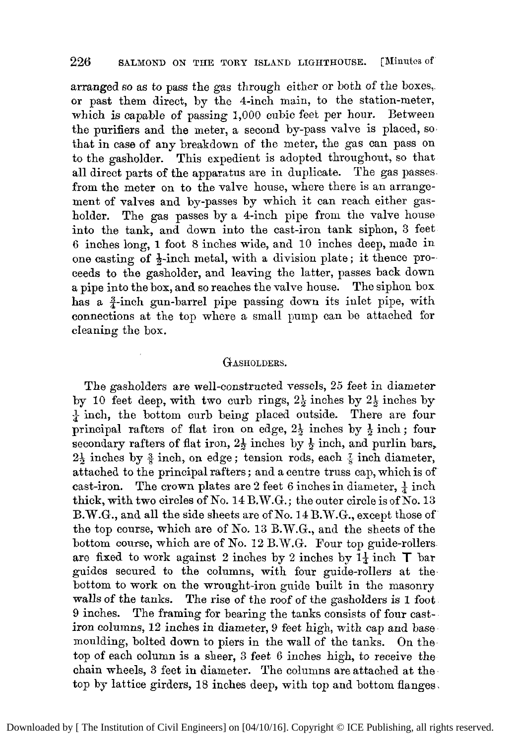# 226 SALMOND ON THE TORY ISLAND LIGHTHOUSE. [Minutes of

arranged so as to pass the gas through either or both of the boxes,. or past them direct, by the 4-inch main, to the station-meter, which is capable of passing 1,000 cubic feet per hour. Between the purifiers and the meter, a second by-pass valve is placed, so, that in case of any breakdown of the meter, the gas can pass on to the gasholder. This expedient is adopted throughout, so that all direct parts of the apparatus are in duplicate. The gas passes. from the meter on to the valve house, where there is an arrangement of valves and by-passes by which it can reach either gasholder. The gas passes by a 4-inch pipe from the valve house into the tank, and down into the cast-iron tank siphon, **3** feet 6 inches long, **1** foot *8* inches wide, and 10 inches deep, made in one casting of  $\frac{1}{2}$ -inch metal, with a division plate; it thence proceeds to the gasholder, and leaving the latter, passes back down a pipe into the box, and so reaches the valve house. The siphon box has a <sup>3</sup>-inch gun-barrel pipe passing down its inlet pipe, with connections at the top where a small pump can be attached for cleaning the box.

#### GASHOLDERS.

The gasholders are well-constructed vessels, *25* feet in diameter by **10** feet deep, with two curb rings, *29* inches by *2\$* inches by  $\frac{1}{4}$  inch, the bottom curb being placed outside. There are four principal rafters of flat iron on edge,  $2\frac{1}{2}$  inches by  $\frac{1}{2}$  inch; four secondary rafters of flat iron, *26* inches by *6* inch, and purlin bars,  $2\frac{1}{2}$  inches by  $\frac{3}{8}$  inch, on edge; tension rods, each  $\frac{7}{8}$  inch diameter, attached to the principal rafters ; and a centre truss cap, which is of cast-iron. The crown plates are 2 feet 6 inches in diameter,  $\frac{1}{4}$  inch thick, with two circles of No. 14 B.W.G.; the outer circle is of No. **13**  B.W.G., and all the side sheets are of No. 14 B.W.G., except those of the top course, which are of No. **13** B.W.G., and the sheets of the bottom course, which are of No. 12 B.W.G. Four top guide-rollers are fixed to work against 2 inches by 2 inches by  $1\frac{1}{4}$  inch  $\top$  bar guides secured to the columns, with four guide-rollers at the. bottom to work on the wrought-iron guide built in the masonry walls of the tanks. The rise of the roof of the gasholders is **1** foot 9 inches. The framing for bearing the tanks consists of four castiron columns, 12 inches in diameter, 9 feet high, with cap and base moulding, bolted down to piers in the wall of the tanks. On the top of each column is a sheer, **3** feet 6 inches high, to receive the chain wheels, **3** feet in diameter. The columns are attached at the top by lattice girders, 18 inches deep, with top and bottom flanges.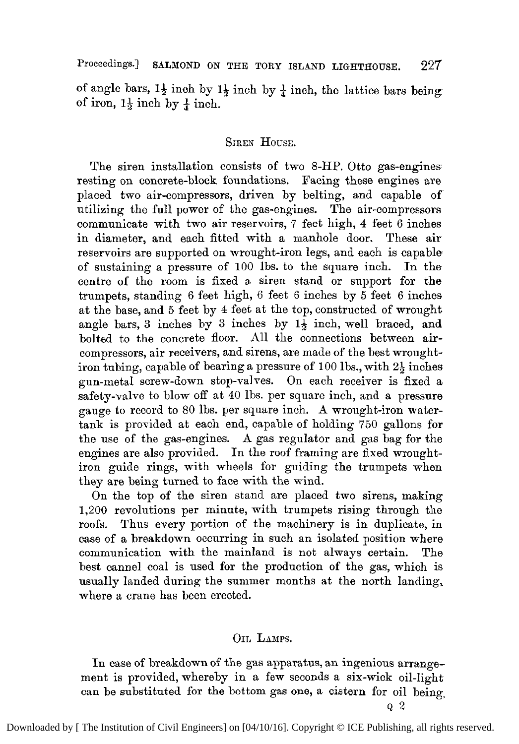Proceedings.] **SALMOND ON** THE **TORY ISLAND LIGHTHOUSE. 227** 

of angle bars,  $1\frac{1}{2}$  inch by  $1\frac{1}{2}$  inch by  $\frac{1}{4}$  inch, the lattice bars being: of iron,  $1\frac{1}{2}$  inch by  $\frac{1}{2}$  inch.

# **SIREN** HOUSE.

The siren installation consists of two 8-HP. Otto gas-engines resting on concrete-block foundations. Facing these engines are placed two air-compressors, driven by belting, and capable of utilizing the full power of the gas-engines. The air-compressors communicate with two air reservoirs, **7** feet high, **4** feet 6 inches in diameter, and each fitted with a manhole door, These air reservoirs are supported on wrought-iron legs, and each is capable of sustaining a pressure of 100 lbs. to the square inch. In the centre of the room is fixed a siren stand or support for the trumpets, standing 6 feet high, 6 feet 6 inches by *5* feet 6 inches at the base, and *5* feet by **4** feet at the top, constructed of wrought angle bars, **3** inches by **3** inches by **15** inch, well braced, and bolted to the concrete floor. All the connections between aircompressors, air receivers, and sirens, are made of the best wroughtiron tubing, capable of bearing a pressure of 100 lbs., with **24** inches gun-metal screw-down stop-valres. On each receiver is fixed a safety-valve to blow off at 40 lbs. per square inch, and a pressure gauge to record to 80 lbs. per square inch. **A** wrought-iron watertank is provided at each end, capable of holding 750 gallons for the use of the gas-engines. **A** gas regulator and gas bag for the engines are also provided. In the roof framing are fixed wroughtiron guide rings, with wheels for guiding the trumpets when they are being turned to face with the wind.

On the top of the siren stand are placed two sirens, making 1,200 revolutions per minute, with trumpets rising through the roofs. Thus every portion of the machinery is in duplicate, in case of a breakdown occurring in such an isolated position where communication with the mainland is not always certain. The best cannel coal is used for the production of the gas, which is usually landed during the summer months at the north landing, where a crane has been erected.

## OIL LAMPS.

In case of breakdown of the gas apparatus, an ingenious arrangement is provided, whereby in a few seconds a six-wick oil-light can be substituted for the bottom gas one, a cistern for oil being,

*Q2*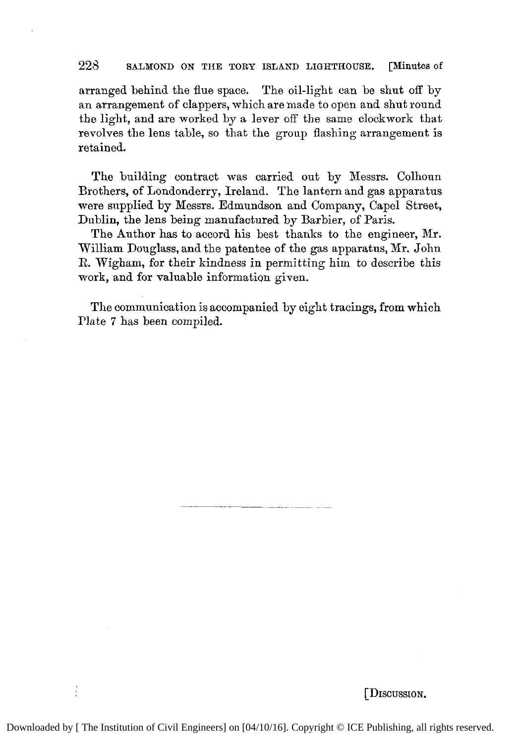## 228 **SALMOND ON THE TORY ISLAND** LIGHTHOUSE. **[Minutes** of

arranged behind the flue space. The oil-light can be shut off by an arrangement of clappers, which are made to open and shut round the light, and are worked by **a** lever off the same clockwork that revolves the lens table, so that the group flashing arrangement is retained.

The building contract was carried out by Messrs. Colhoun Brothers, of Londonderry, Ireland. The lantern and gas apparatus were supplied by Messrs. Edmundson and Company, Cape1 Street, Dublin, the lens being manufactured by Barbier, of Paris.

The Author has to accord his best thanks to the engineer, Mr. William Douglass, and the patentee of the gas apparatus, Mr. John R. Wigham, for their kindness in permitting him to describe this work, and for valuable information given.

The communication is accompanied by eight tracings, from which Plate **7** has been compiled.

[DISCUSSION.